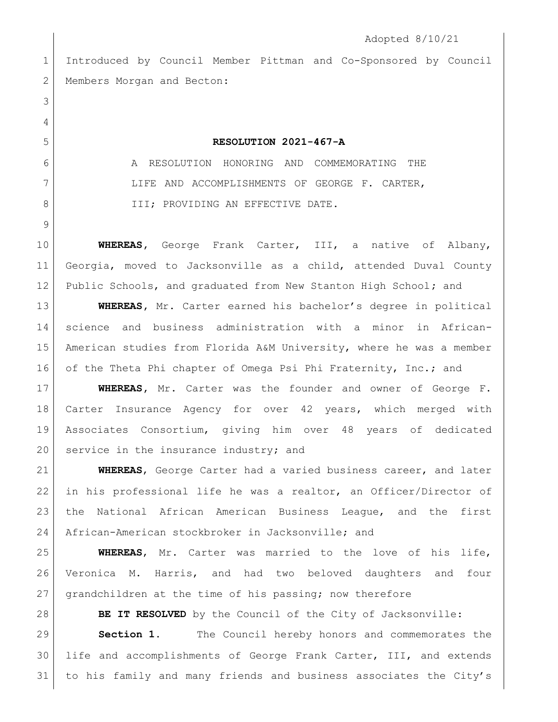```
Adopted 8/10/21
1 Introduced by Council Member Pittman and Co-Sponsored by Council 
2 Members Morgan and Becton:
 3
 4
5 RESOLUTION 2021-467-A
 6 A RESOLUTION HONORING AND COMMEMORATING THE
7 LIFE AND ACCOMPLISHMENTS OF GEORGE F. CARTER,
8 | III; PROVIDING AN EFFECTIVE DATE.
9
10 WHEREAS, George Frank Carter, III, a native of Albany, 
11 Georgia, moved to Jacksonville as a child, attended Duval County 
12 Public Schools, and graduated from New Stanton High School; and
13 WHEREAS, Mr. Carter earned his bachelor's degree in political 
14 science and business administration with a minor in African-
15 American studies from Florida A&M University, where he was a member 
16 of the Theta Phi chapter of Omega Psi Phi Fraternity, Inc.; and
17 WHEREAS, Mr. Carter was the founder and owner of George F. 
18 Carter Insurance Agency for over 42 years, which merged with 
19 Associates Consortium, giving him over 48 years of dedicated 
20 service in the insurance industry; and
21 WHEREAS, George Carter had a varied business career, and later 
22 in his professional life he was a realtor, an Officer/Director of 
23 the National African American Business League, and the first 
24 African-American stockbroker in Jacksonville; and
25 WHEREAS, Mr. Carter was married to the love of his life, 
26 Veronica M. Harris, and had two beloved daughters and four 
27 grandchildren at the time of his passing; now therefore
28 BE IT RESOLVED by the Council of the City of Jacksonville:
29 Section 1. The Council hereby honors and commemorates the 
30 life and accomplishments of George Frank Carter, III, and extends
```
to his family and many friends and business associates the City's